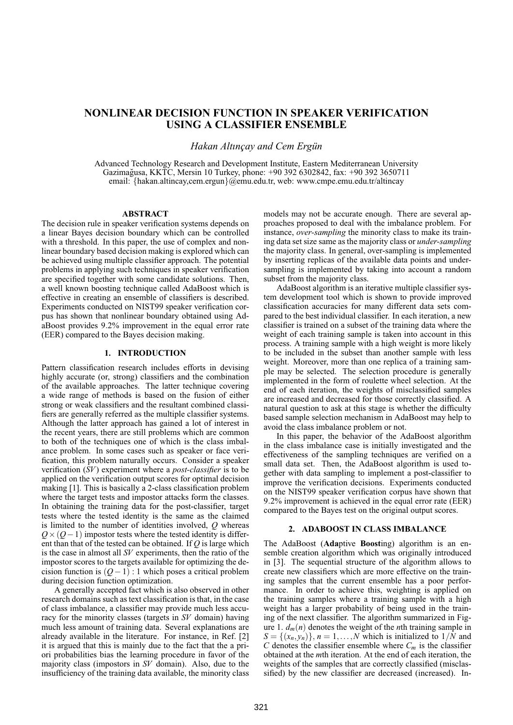# **NONLINEAR DECISION FUNCTION IN SPEAKER VERIFICATION USING A CLASSIFIER ENSEMBLE**

*Hakan Altınçay and Cem Ergün* 

Advanced Technology Research and Development Institute, Eastern Mediterranean University Gazimagusa, KKTC, Mersin 10 Turkey, phone: +90 392 6302842, fax: +90 392 3650711 ˘ email: {hakan.altincay,cem.ergun}@emu.edu.tr, web: www.cmpe.emu.edu.tr/altincay

## **ABSTRACT**

The decision rule in speaker verification systems depends on a linear Bayes decision boundary which can be controlled with a threshold. In this paper, the use of complex and nonlinear boundary based decision making is explored which can be achieved using multiple classifier approach. The potential problems in applying such techniques in speaker verification are specified together with some candidate solutions. Then, a well known boosting technique called AdaBoost which is effective in creating an ensemble of classifiers is described. Experiments conducted on NIST99 speaker verification corpus has shown that nonlinear boundary obtained using AdaBoost provides 9.2% improvement in the equal error rate (EER) compared to the Bayes decision making.

# **1. INTRODUCTION**

Pattern classification research includes efforts in devising highly accurate (or, strong) classifiers and the combination of the available approaches. The latter technique covering a wide range of methods is based on the fusion of either strong or weak classifiers and the resultant combined classifiers are generally referred as the multiple classifier systems. Although the latter approach has gained a lot of interest in the recent years, there are still problems which are common to both of the techniques one of which is the class imbalance problem. In some cases such as speaker or face verification, this problem naturally occurs. Consider a speaker verification (*SV*) experiment where a *post-classifier* is to be applied on the verification output scores for optimal decision making [1]. This is basically a 2-class classification problem where the target tests and impostor attacks form the classes. In obtaining the training data for the post-classifier, target tests where the tested identity is the same as the claimed is limited to the number of identities involved, *Q* whereas  $Q \times (Q-1)$  impostor tests where the tested identity is different than that of the tested can be obtained. If *Q* is large which is the case in almost all *SV* experiments, then the ratio of the impostor scores to the targets available for optimizing the decision function is (*Q*−1) : 1 which poses a critical problem during decision function optimization.

A generally accepted fact which is also observed in other research domains such as text classification is that, in the case of class imbalance, a classifier may provide much less accuracy for the minority classes (targets in *SV* domain) having much less amount of training data. Several explanations are already available in the literature. For instance, in Ref. [2] it is argued that this is mainly due to the fact that the a priori probabilities bias the learning procedure in favor of the majority class (impostors in *SV* domain). Also, due to the insufficiency of the training data available, the minority class models may not be accurate enough. There are several approaches proposed to deal with the imbalance problem. For instance, *over-sampling* the minority class to make its training data set size same as the majority class or *under-sampling* the majority class. In general, over-sampling is implemented by inserting replicas of the available data points and undersampling is implemented by taking into account a random subset from the majority class.

AdaBoost algorithm is an iterative multiple classifier system development tool which is shown to provide improved classification accuracies for many different data sets compared to the best individual classifier. In each iteration, a new classifier is trained on a subset of the training data where the weight of each training sample is taken into account in this process. A training sample with a high weight is more likely to be included in the subset than another sample with less weight. Moreover, more than one replica of a training sample may be selected. The selection procedure is generally implemented in the form of roulette wheel selection. At the end of each iteration, the weights of misclassified samples are increased and decreased for those correctly classified. A natural question to ask at this stage is whether the difficulty based sample selection mechanism in AdaBoost may help to avoid the class imbalance problem or not.

In this paper, the behavior of the AdaBoost algorithm in the class imbalance case is initially investigated and the effectiveness of the sampling techniques are verified on a small data set. Then, the AdaBoost algorithm is used together with data sampling to implement a post-classifier to improve the verification decisions. Experiments conducted on the NIST99 speaker verification corpus have shown that 9.2% improvement is achieved in the equal error rate (EER) compared to the Bayes test on the original output scores.

### **2. ADABOOST IN CLASS IMBALANCE**

The AdaBoost (**Ada**ptive **Boost**ing) algorithm is an ensemble creation algorithm which was originally introduced in [3]. The sequential structure of the algorithm allows to create new classifiers which are more effective on the training samples that the current ensemble has a poor performance. In order to achieve this, weighting is applied on the training samples where a training sample with a high weight has a larger probability of being used in the training of the next classifier. The algorithm summarized in Figure 1.  $d_m(n)$  denotes the weight of the *n*th training sample in  $S = \{(x_n, y_n)\}\$ ,  $n = 1, \ldots, N$  which is initialized to  $1/N$  and *C* denotes the classifier ensemble where  $C_m$  is the classifier obtained at the *m*th iteration. At the end of each iteration, the weights of the samples that are correctly classified (misclassified) by the new classifier are decreased (increased). In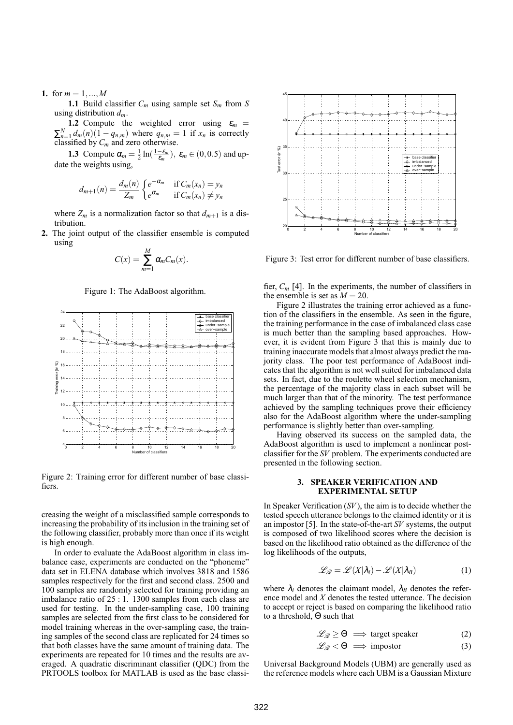**1.** for  $m = 1, ..., M$ 

**1.1** Build classifier *Cm* using sample set *Sm* from *S* using distribution *dm*.

**1.2** Compute the weighted error using  $\varepsilon_m$  =  $\sum_{n=1}^{N} d_m(n) (1 - q_{n,m})$  where  $q_{n,m} = 1$  if  $x_n$  is correctly classified by *Cm* and zero otherwise.

**1.3** Compute  $\alpha_m = \frac{1}{2} \ln(\frac{1-\epsilon_m}{\epsilon_m})$ ,  $\epsilon_m \in (0,0.5)$  and update the weights using,

$$
d_{m+1}(n) = \frac{d_m(n)}{Z_m} \begin{cases} e^{-\alpha_m} & \text{if } C_m(x_n) = y_n \\ e^{\alpha_m} & \text{if } C_m(x_n) \neq y_n \end{cases}
$$

where  $Z_m$  is a normalization factor so that  $d_{m+1}$  is a distribution.

**2.** The joint output of the classifier ensemble is computed using

$$
C(x) = \sum_{m=1}^{M} \alpha_m C_m(x).
$$

Figure 1: The AdaBoost algorithm.



Figure 2: Training error for different number of base classifiers.

creasing the weight of a misclassified sample corresponds to increasing the probability of its inclusion in the training set of the following classifier, probably more than once if its weight is high enough.

In order to evaluate the AdaBoost algorithm in class imbalance case, experiments are conducted on the "phoneme" data set in ELENA database which involves 3818 and 1586 samples respectively for the first and second class. 2500 and 100 samples are randomly selected for training providing an imbalance ratio of 25 : 1. 1300 samples from each class are used for testing. In the under-sampling case, 100 training samples are selected from the first class to be considered for model training whereas in the over-sampling case, the training samples of the second class are replicated for 24 times so that both classes have the same amount of training data. The experiments are repeated for 10 times and the results are averaged. A quadratic discriminant classifier (QDC) from the PRTOOLS toolbox for MATLAB is used as the base classi-



Figure 3: Test error for different number of base classifiers.

fier, *Cm* [4]. In the experiments, the number of classifiers in the ensemble is set as  $M = 20$ .

Figure 2 illustrates the training error achieved as a function of the classifiers in the ensemble. As seen in the figure, the training performance in the case of imbalanced class case is much better than the sampling based approaches. However, it is evident from Figure 3 that this is mainly due to training inaccurate models that almost always predict the majority class. The poor test performance of AdaBoost indicates that the algorithm is not well suited for imbalanced data sets. In fact, due to the roulette wheel selection mechanism, the percentage of the majority class in each subset will be much larger than that of the minority. The test performance achieved by the sampling techniques prove their efficiency also for the AdaBoost algorithm where the under-sampling performance is slightly better than over-sampling.

Having observed its success on the sampled data, the AdaBoost algorithm is used to implement a nonlinear postclassifier for the *SV* problem. The experiments conducted are presented in the following section.

# **3. SPEAKER VERIFICATION AND EXPERIMENTAL SETUP**

In Speaker Verification (*SV*), the aim is to decide whether the tested speech utterance belongs to the claimed identity or it is an impostor [5]. In the state-of-the-art *SV* systems, the output is composed of two likelihood scores where the decision is based on the likelihood ratio obtained as the difference of the log likelihoods of the outputs,

$$
\mathcal{L}_{\mathcal{R}} = \mathcal{L}(X|\lambda_i) - \mathcal{L}(X|\lambda_B)
$$
 (1)

where  $\lambda_i$  denotes the claimant model,  $\lambda_B$  denotes the reference model and *X* denotes the tested utterance. The decision to accept or reject is based on comparing the likelihood ratio to a threshold, Θ such that

$$
\mathcal{L}_{\mathcal{R}} \geq \Theta \implies \text{target speaker} \tag{2}
$$

$$
\mathcal{L}_{\mathcal{R}} < \Theta \implies \text{impostor} \tag{3}
$$

Universal Background Models (UBM) are generally used as the reference models where each UBM is a Gaussian Mixture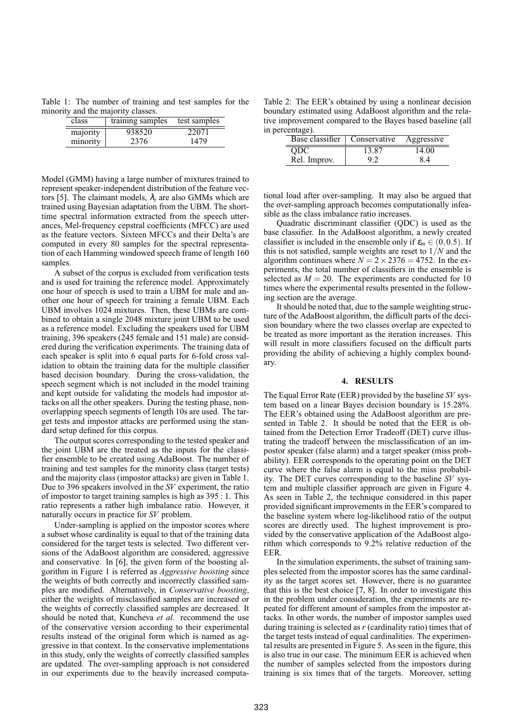Table 1: The number of training and test samples for the minority and the majority classes.

| class    | training samples | test samples |
|----------|------------------|--------------|
| majority | 938520           | 22071        |
| minority | 2376             | 1479         |

Model (GMM) having a large number of mixtures trained to represent speaker-independent distribution of the feature vectors [5]. The claimant models,  $\lambda_i$  are also GMMs which are trained using Bayesian adaptation from the UBM. The shorttime spectral information extracted from the speech utterances, Mel-frequency cepstral coefficients (MFCC) are used as the feature vectors. Sixteen MFCCs and their Delta's are computed in every 80 samples for the spectral representation of each Hamming windowed speech frame of length 160 samples.

A subset of the corpus is excluded from verification tests and is used for training the reference model. Approximately one hour of speech is used to train a UBM for male and another one hour of speech for training a female UBM. Each UBM involves 1024 mixtures. Then, these UBMs are combined to obtain a single 2048 mixture joint UBM to be used as a reference model. Excluding the speakers used for UBM training, 396 speakers (245 female and 151 male) are considered during the verification experiments. The training data of each speaker is split into 6 equal parts for 6-fold cross validation to obtain the training data for the multiple classifier based decision boundary. During the cross-validation, the speech segment which is not included in the model training and kept outside for validating the models had impostor attacks on all the other speakers. During the testing phase, nonoverlapping speech segments of length 10s are used. The target tests and impostor attacks are performed using the standard setup defined for this corpus.

The output scores corresponding to the tested speaker and the joint UBM are the treated as the inputs for the classifier ensemble to be created using AdaBoost. The number of training and test samples for the minority class (target tests) and the majority class (impostor attacks) are given in Table 1. Due to 396 speakers involved in the *SV* experiment, the ratio of impostor to target training samples is high as 395 : 1. This ratio represents a rather high imbalance ratio. However, it naturally occurs in practice for *SV* problem.

Under-sampling is applied on the impostor scores where a subset whose cardinality is equal to that of the training data considered for the target tests is selected. Two different versions of the AdaBoost algorithm are considered, aggressive and conservative. In [6], the given form of the boosting algorithm in Figure 1 is referred as *Aggressive boosting* since the weights of both correctly and incorrectly classified samples are modified. Alternatively, in *Conservative boosting*, either the weights of misclassified samples are increased or the weights of correctly classified samples are decreased. It should be noted that, Kuncheva *et al.* recommend the use of the conservative version according to their experimental results instead of the original form which is named as aggressive in that context. In the conservative implementations in this study, only the weights of correctly classified samples are updated. The over-sampling approach is not considered in our experiments due to the heavily increased computa-

Table 2: The EER's obtained by using a nonlinear decision boundary estimated using AdaBoost algorithm and the relative improvement compared to the Bayes based baseline (all in percentage).

| Base classifier   Conservative |       | Aggressive |
|--------------------------------|-------|------------|
| <b>ODC</b>                     | 13.87 | 14.00      |
| Rel. Improv.                   | 9.2   | 84         |

tional load after over-sampling. It may also be argued that the over-sampling approach becomes computationally infeasible as the class imbalance ratio increases.

Quadratic discriminant classifier (QDC) is used as the base classifier. In the AdaBoost algorithm, a newly created classifier is included in the ensemble only if  $\varepsilon_m \in (0, 0.5)$ . If this is not satisfied, sample weights are reset to 1/*N* and the algorithm continues where  $N = 2 \times 2376 = 4752$ . In the experiments, the total number of classifiers in the ensemble is selected as  $M = 20$ . The experiments are conducted for 10 times where the experimental results presented in the following section are the average.

It should be noted that, due to the sample weighting structure of the AdaBoost algorithm, the difficult parts of the decision boundary where the two classes overlap are expected to be treated as more important as the iteration increases. This will result in more classifiers focused on the difficult parts providing the ability of achieving a highly complex boundary.

#### **4. RESULTS**

The Equal Error Rate (EER) provided by the baseline *SV* system based on a linear Bayes decision boundary is 15.28%. The EER's obtained using the AdaBoost algorithm are presented in Table 2. It should be noted that the EER is obtained from the Detection Error Tradeoff (DET) curve illustrating the tradeoff between the misclassification of an impostor speaker (false alarm) and a target speaker (miss probability). EER corresponds to the operating point on the DET curve where the false alarm is equal to the miss probability. The DET curves corresponding to the baseline *SV* system and multiple classifier approach are given in Figure 4. As seen in Table 2, the technique considered in this paper provided significant improvements in the EER's compared to the baseline system where log-likelihood ratio of the output scores are directly used. The highest improvement is provided by the conservative application of the AdaBoost algorithm which corresponds to 9.2% relative reduction of the EER.

In the simulation experiments, the subset of training samples selected from the impostor scores has the same cardinality as the target scores set. However, there is no guarantee that this is the best choice [7, 8]. In order to investigate this in the problem under consideration, the experiments are repeated for different amount of samples from the impostor attacks. In other words, the number of impostor samples used during training is selected as *r* (cardinality ratio) times that of the target tests instead of equal cardinalities. The experimental results are presented in Figure 5. As seen in the figure, this is also true in our case. The minimum EER is achieved when the number of samples selected from the impostors during training is six times that of the targets. Moreover, setting